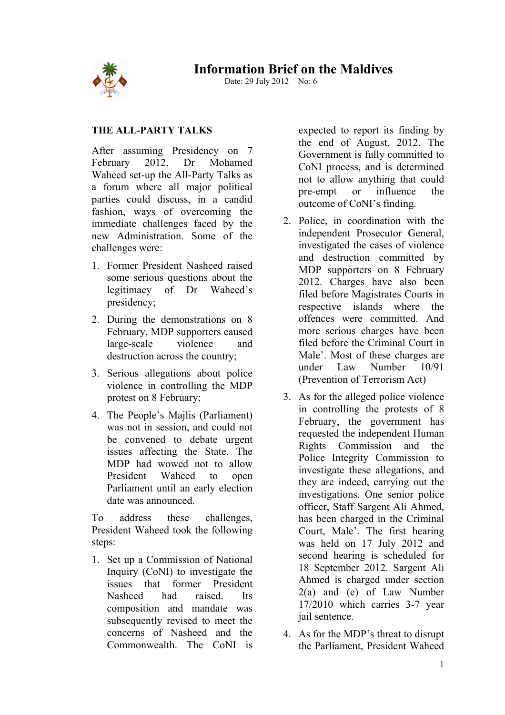## **Information Brief on the Maldives**



Date: 29 July 2012 No: 6

## **THE ALL-PARTY TALKS**

After assuming Presidency on 7 February 2012, Dr Mohamed Waheed set-up the All-Party Talks as a forum where all major political parties could discuss, in a candid fashion, ways of overcoming the immediate challenges faced by the new Administration. Some of the challenges were:

- 1. Former President Nasheed raised some serious questions about the legitimacy of Dr Waheed's presidency;
- 2. During the demonstrations on 8 February, MDP supporters caused large-scale violence and destruction across the country;
- 3. Serious allegations about police violence in controlling the MDP protest on 8 February;
- 4. The People's Majlis (Parliament) was not in session, and could not be convened to debate urgent issues affecting the State. The MDP had wowed not to allow President Waheed to open Parliament until an early election date was announced.

To address these challenges, President Waheed took the following steps:

1. Set up a Commission of National Inquiry (CoNI) to investigate the issues that former President Nasheed had raised. Its composition and mandate was subsequently revised to meet the concerns of Nasheed and the Commonwealth. The CoNI is

expected to report its finding by the end of August, 2012. The Government is fully committed to CoNI process, and is determined not to allow anything that could pre-empt or influence the outcome of CoNI's finding.

- 2. Police, in coordination with the independent Prosecutor General, investigated the cases of violence and destruction committed by MDP supporters on 8 February 2012. Charges have also been filed before Magistrates Courts in respective islands where the offences were committed. And more serious charges have been filed before the Criminal Court in Male'. Most of these charges are under Law Number 10/91 (Prevention of Terrorism Act)
- 3. As for the alleged police violence in controlling the protests of 8 February, the government has requested the independent Human Rights Commission and the Police Integrity Commission to investigate these allegations, and they are indeed, carrying out the investigations. One senior police officer, Staff Sargent Ali Ahmed, has been charged in the Criminal Court, Male'. The first hearing was held on 17 July 2012 and second hearing is scheduled for 18 September 2012. Sargent Ali Ahmed is charged under section 2(a) and (e) of Law Number 17/2010 which carries 3-7 year jail sentence.
- 4. As for the MDP's threat to disrupt the Parliament, President Waheed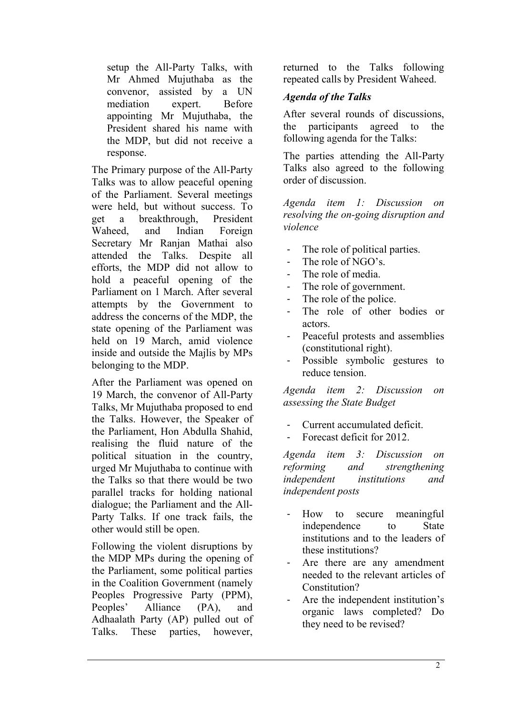setup the All-Party Talks, with Mr Ahmed Mujuthaba as the convenor, assisted by a UN mediation expert. Before appointing Mr Mujuthaba, the President shared his name with the MDP, but did not receive a response.

The Primary purpose of the All-Party Talks was to allow peaceful opening of the Parliament. Several meetings were held, but without success. To get a breakthrough, President Waheed, and Indian Foreign Secretary Mr Ranjan Mathai also attended the Talks. Despite all efforts, the MDP did not allow to hold a peaceful opening of the Parliament on 1 March. After several attempts by the Government to address the concerns of the MDP, the state opening of the Parliament was held on 19 March, amid violence inside and outside the Majlis by MPs belonging to the MDP.

After the Parliament was opened on 19 March, the convenor of All-Party Talks, Mr Mujuthaba proposed to end the Talks. However, the Speaker of the Parliament, Hon Abdulla Shahid, realising the fluid nature of the political situation in the country, urged Mr Mujuthaba to continue with the Talks so that there would be two parallel tracks for holding national dialogue; the Parliament and the All-Party Talks. If one track fails, the other would still be open.

Following the violent disruptions by the MDP MPs during the opening of the Parliament, some political parties in the Coalition Government (namely Peoples Progressive Party (PPM), Peoples' Alliance (PA), and Adhaalath Party (AP) pulled out of Talks. These parties, however,

returned to the Talks following repeated calls by President Waheed.

## *Agenda of the Talks*

After several rounds of discussions, the participants agreed to the following agenda for the Talks:

The parties attending the All-Party Talks also agreed to the following order of discussion.

*Agenda item 1: Discussion on resolving the on-going disruption and violence* 

- The role of political parties.
- The role of NGO's.
- The role of media.
- The role of government.
- The role of the police.
- The role of other bodies or actors.
- Peaceful protests and assemblies (constitutional right).
- Possible symbolic gestures to reduce tension.

*Agenda item 2: Discussion on assessing the State Budget* 

- Current accumulated deficit.
- Forecast deficit for 2012.

*Agenda item 3: Discussion on reforming and strengthening independent institutions and independent posts* 

- How to secure meaningful independence to State institutions and to the leaders of these institutions?
- Are there are any amendment needed to the relevant articles of Constitution?
- Are the independent institution's organic laws completed? Do they need to be revised?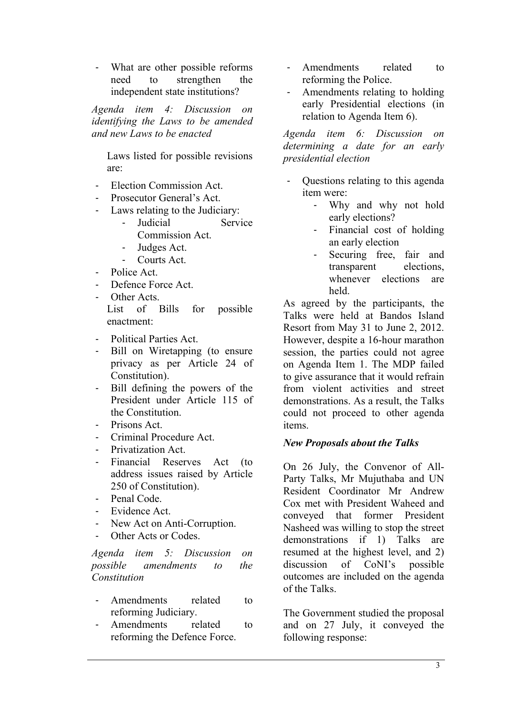What are other possible reforms need to strengthen the independent state institutions?

*Agenda item 4: Discussion on identifying the Laws to be amended and new Laws to be enacted* 

Laws listed for possible revisions are:

- Election Commission Act.
- Prosecutor General's Act.
- Laws relating to the Judiciary:
	- Judicial Service Commission Act.
	- Judges Act.
	- Courts Act.
- Police Act.
- Defence Force Act.
- Other Acts. List of Bills for possible enactment:
- Political Parties Act.
- Bill on Wiretapping (to ensure privacy as per Article 24 of Constitution).
- Bill defining the powers of the President under Article 115 of the Constitution.
- Prisons Act.
- Criminal Procedure Act.
- Privatization Act.
- Financial Reserves Act (to address issues raised by Article 250 of Constitution).
- Penal Code.
- Evidence Act.
- New Act on Anti-Corruption.
- Other Acts or Codes.

*Agenda item 5: Discussion on possible amendments to the Constitution* 

- Amendments related to reforming Judiciary.
- Amendments related to reforming the Defence Force.
- Amendments related to reforming the Police.
- Amendments relating to holding early Presidential elections (in relation to Agenda Item 6).

*Agenda item 6: Discussion on determining a date for an early presidential election* 

- Questions relating to this agenda item were:
	- Why and why not hold early elections?
	- Financial cost of holding an early election
	- Securing free, fair and transparent elections whenever elections are held.

As agreed by the participants, the Talks were held at Bandos Island Resort from May 31 to June 2, 2012. However, despite a 16-hour marathon session, the parties could not agree on Agenda Item 1. The MDP failed to give assurance that it would refrain from violent activities and street demonstrations. As a result, the Talks could not proceed to other agenda items.

## *New Proposals about the Talks*

On 26 July, the Convenor of All-Party Talks, Mr Mujuthaba and UN Resident Coordinator Mr Andrew Cox met with President Waheed and conveyed that former President Nasheed was willing to stop the street demonstrations if 1) Talks are resumed at the highest level, and 2) discussion of CoNI's possible outcomes are included on the agenda of the Talks.

The Government studied the proposal and on 27 July, it conveyed the following response: